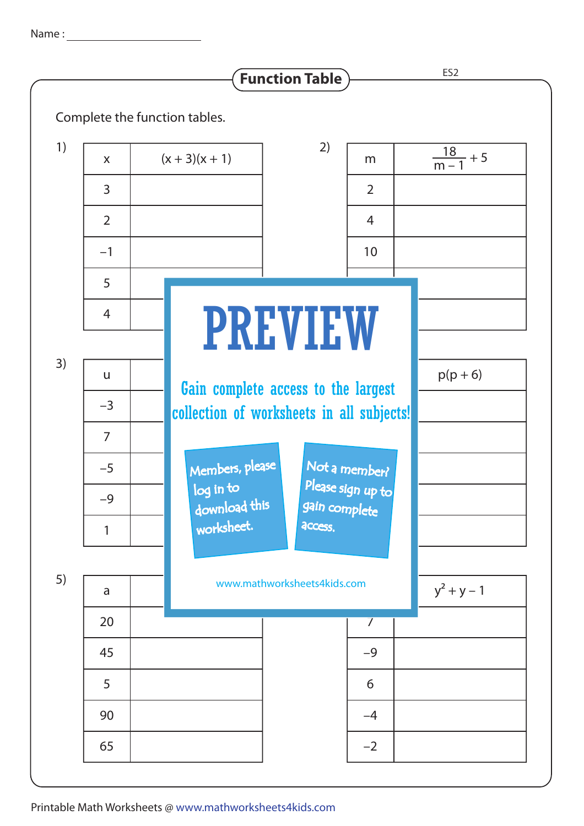